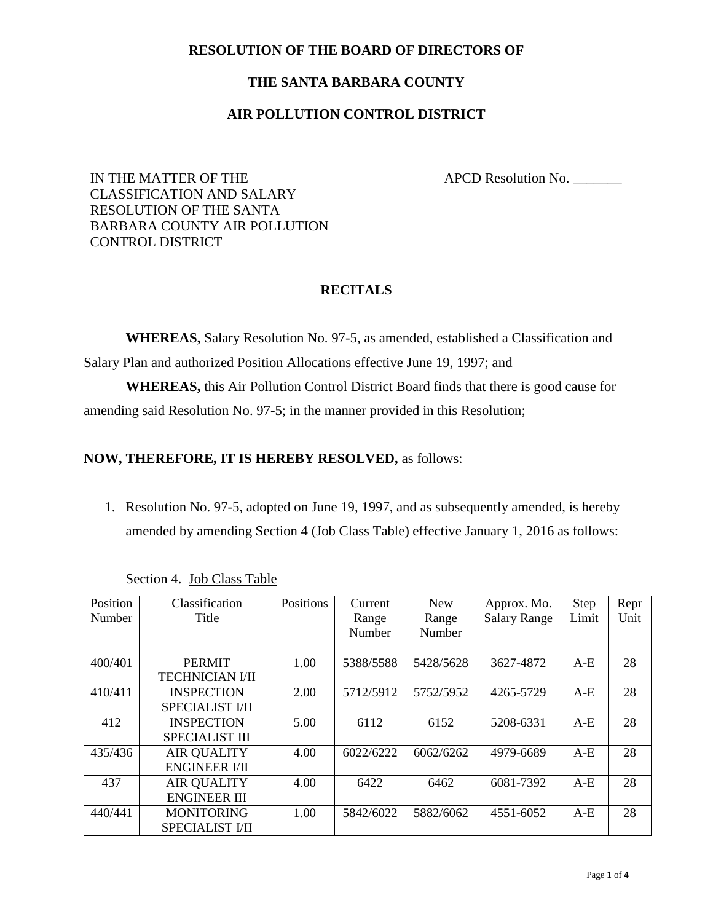#### **RESOLUTION OF THE BOARD OF DIRECTORS OF**

#### **THE SANTA BARBARA COUNTY**

### **AIR POLLUTION CONTROL DISTRICT**

IN THE MATTER OF THE CLASSIFICATION AND SALARY RESOLUTION OF THE SANTA BARBARA COUNTY AIR POLLUTION CONTROL DISTRICT

APCD Resolution No. \_\_\_\_\_\_\_

### **RECITALS**

**WHEREAS,** Salary Resolution No. 97-5, as amended, established a Classification and Salary Plan and authorized Position Allocations effective June 19, 1997; and

**WHEREAS,** this Air Pollution Control District Board finds that there is good cause for amending said Resolution No. 97-5; in the manner provided in this Resolution;

#### **NOW, THEREFORE, IT IS HEREBY RESOLVED,** as follows:

1. Resolution No. 97-5, adopted on June 19, 1997, and as subsequently amended, is hereby amended by amending Section 4 (Job Class Table) effective January 1, 2016 as follows:

| Position | Classification         | Positions | Current   | <b>New</b> | Approx. Mo.         | <b>Step</b> | Repr |
|----------|------------------------|-----------|-----------|------------|---------------------|-------------|------|
| Number   | Title                  |           | Range     | Range      | <b>Salary Range</b> | Limit       | Unit |
|          |                        |           | Number    | Number     |                     |             |      |
|          |                        |           |           |            |                     |             |      |
| 400/401  | <b>PERMIT</b>          | 1.00      | 5388/5588 | 5428/5628  | 3627-4872           | $A-E$       | 28   |
|          | <b>TECHNICIAN I/II</b> |           |           |            |                     |             |      |
| 410/411  | <b>INSPECTION</b>      | 2.00      | 5712/5912 | 5752/5952  | 4265-5729           | $A-E$       | 28   |
|          | <b>SPECIALIST VII</b>  |           |           |            |                     |             |      |
| 412      | <b>INSPECTION</b>      | 5.00      | 6112      | 6152       | 5208-6331           | $A-E$       | 28   |
|          | <b>SPECIALIST III</b>  |           |           |            |                     |             |      |
| 435/436  | <b>AIR QUALITY</b>     | 4.00      | 6022/6222 | 6062/6262  | 4979-6689           | $A-E$       | 28   |
|          | <b>ENGINEER I/II</b>   |           |           |            |                     |             |      |
| 437      | <b>AIR QUALITY</b>     | 4.00      | 6422      | 6462       | 6081-7392           | $A-E$       | 28   |
|          | <b>ENGINEER III</b>    |           |           |            |                     |             |      |
| 440/441  | <b>MONITORING</b>      | 1.00      | 5842/6022 | 5882/6062  | 4551-6052           | $A-E$       | 28   |
|          | <b>SPECIALIST I/II</b> |           |           |            |                     |             |      |

Section 4. Job Class Table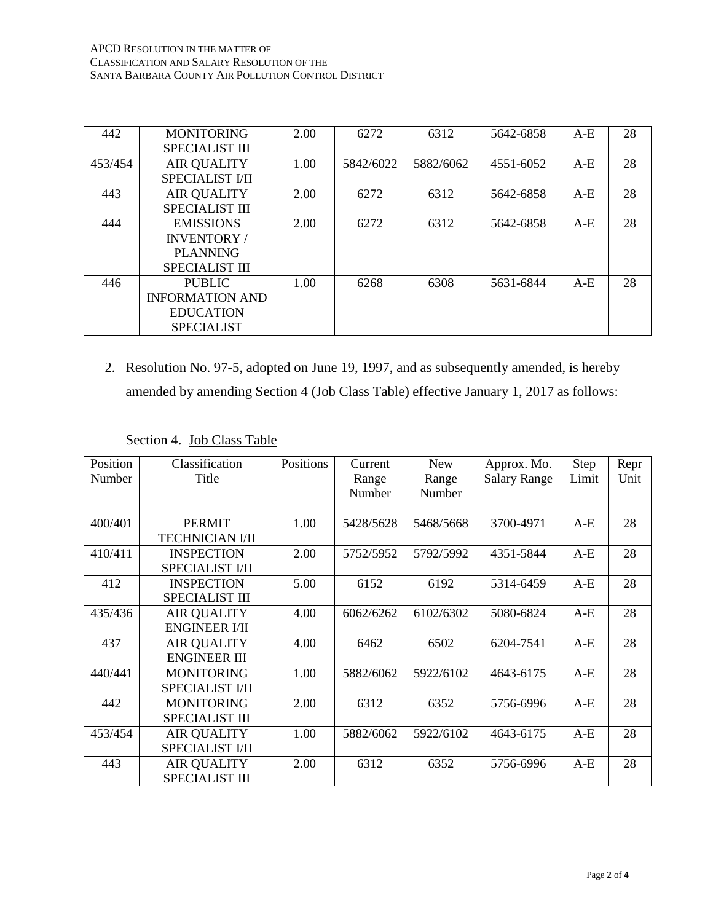| 442     | <b>MONITORING</b>      | 2.00 | 6272      | 6312      | 5642-6858 | $A-E$ | 28 |
|---------|------------------------|------|-----------|-----------|-----------|-------|----|
|         | <b>SPECIALIST III</b>  |      |           |           |           |       |    |
| 453/454 | <b>AIR QUALITY</b>     | 1.00 | 5842/6022 | 5882/6062 | 4551-6052 | $A-E$ | 28 |
|         | <b>SPECIALIST VII</b>  |      |           |           |           |       |    |
| 443     | <b>AIR QUALITY</b>     | 2.00 | 6272      | 6312      | 5642-6858 | $A-E$ | 28 |
|         | <b>SPECIALIST III</b>  |      |           |           |           |       |    |
| 444     | <b>EMISSIONS</b>       | 2.00 | 6272      | 6312      | 5642-6858 | $A-E$ | 28 |
|         | INVENTORY/             |      |           |           |           |       |    |
|         | <b>PLANNING</b>        |      |           |           |           |       |    |
|         | <b>SPECIALIST III</b>  |      |           |           |           |       |    |
| 446     | <b>PUBLIC</b>          | 1.00 | 6268      | 6308      | 5631-6844 | $A-E$ | 28 |
|         | <b>INFORMATION AND</b> |      |           |           |           |       |    |
|         | <b>EDUCATION</b>       |      |           |           |           |       |    |
|         | <b>SPECIALIST</b>      |      |           |           |           |       |    |

2. Resolution No. 97-5, adopted on June 19, 1997, and as subsequently amended, is hereby amended by amending Section 4 (Job Class Table) effective January 1, 2017 as follows:

| Position | Classification         | Positions | Current   | <b>New</b> | Approx. Mo.         | Step  | Repr |
|----------|------------------------|-----------|-----------|------------|---------------------|-------|------|
| Number   | Title                  |           | Range     | Range      | <b>Salary Range</b> | Limit | Unit |
|          |                        |           | Number    | Number     |                     |       |      |
|          |                        |           |           |            |                     |       |      |
| 400/401  | <b>PERMIT</b>          | 1.00      | 5428/5628 | 5468/5668  | 3700-4971           | $A-E$ | 28   |
|          | <b>TECHNICIAN I/II</b> |           |           |            |                     |       |      |
| 410/411  | <b>INSPECTION</b>      | 2.00      | 5752/5952 | 5792/5992  | 4351-5844           | $A-E$ | 28   |
|          | <b>SPECIALIST VII</b>  |           |           |            |                     |       |      |
| 412      | <b>INSPECTION</b>      | 5.00      | 6152      | 6192       | 5314-6459           | $A-E$ | 28   |
|          | <b>SPECIALIST III</b>  |           |           |            |                     |       |      |
| 435/436  | <b>AIR QUALITY</b>     | 4.00      | 6062/6262 | 6102/6302  | 5080-6824           | $A-E$ | 28   |
|          | <b>ENGINEER I/II</b>   |           |           |            |                     |       |      |
| 437      | <b>AIR QUALITY</b>     | 4.00      | 6462      | 6502       | 6204-7541           | $A-E$ | 28   |
|          | <b>ENGINEER III</b>    |           |           |            |                     |       |      |
| 440/441  | <b>MONITORING</b>      | 1.00      | 5882/6062 | 5922/6102  | 4643-6175           | $A-E$ | 28   |
|          | <b>SPECIALIST I/II</b> |           |           |            |                     |       |      |
| 442      | <b>MONITORING</b>      | 2.00      | 6312      | 6352       | 5756-6996           | $A-E$ | 28   |
|          | <b>SPECIALIST III</b>  |           |           |            |                     |       |      |
| 453/454  | <b>AIR QUALITY</b>     | 1.00      | 5882/6062 | 5922/6102  | 4643-6175           | $A-E$ | 28   |
|          | <b>SPECIALIST VII</b>  |           |           |            |                     |       |      |
| 443      | <b>AIR QUALITY</b>     | 2.00      | 6312      | 6352       | 5756-6996           | $A-E$ | 28   |
|          | <b>SPECIALIST III</b>  |           |           |            |                     |       |      |

Section 4. Job Class Table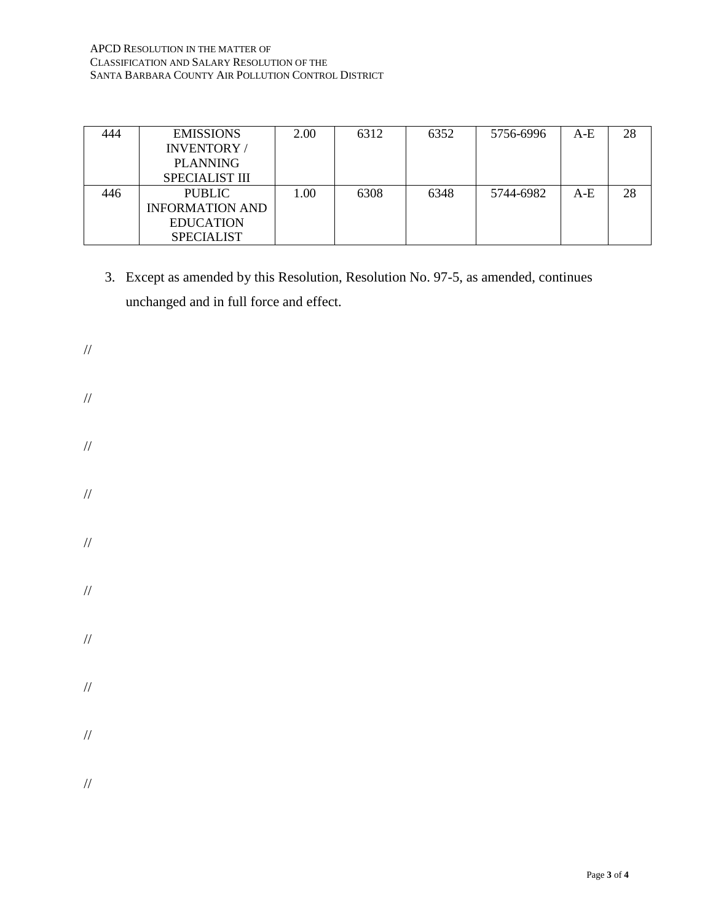#### APCD RESOLUTION IN THE MATTER OF CLASSIFICATION AND SALARY RESOLUTION OF THE SANTA BARBARA COUNTY AIR POLLUTION CONTROL DISTRICT

| 444 | <b>EMISSIONS</b>       | 2.00 | 6312 | 6352 | 5756-6996 | $A-E$ | 28 |
|-----|------------------------|------|------|------|-----------|-------|----|
|     | INVENTORY/             |      |      |      |           |       |    |
|     | <b>PLANNING</b>        |      |      |      |           |       |    |
|     | <b>SPECIALIST III</b>  |      |      |      |           |       |    |
| 446 | <b>PUBLIC</b>          | 1.00 | 6308 | 6348 | 5744-6982 | $A-E$ | 28 |
|     | <b>INFORMATION AND</b> |      |      |      |           |       |    |
|     | <b>EDUCATION</b>       |      |      |      |           |       |    |
|     | <b>SPECIALIST</b>      |      |      |      |           |       |    |

- 3. Except as amended by this Resolution, Resolution No. 97-5, as amended, continues unchanged and in full force and effect.
- // // // // // // // // // //